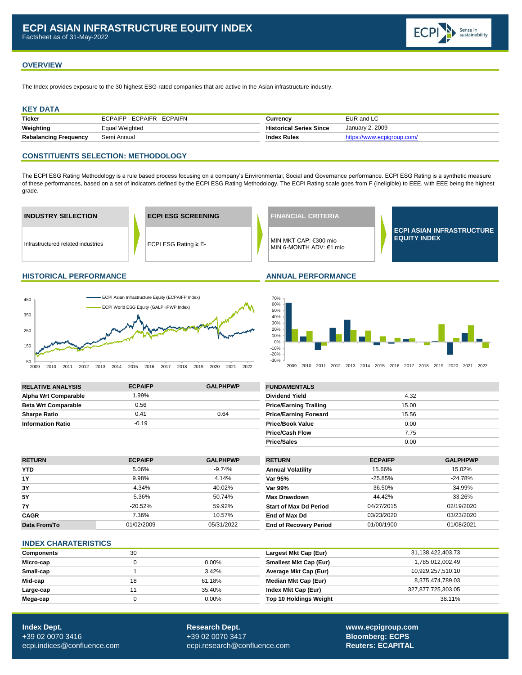

# **OVERVIEW**

The Index provides exposure to the 30 highest ESG-rated companies that are active in the Asian infrastructure industry.

## **KEY DATA**

| <b>Ticker</b>                | ECPAIFP - ECPAIFR - ECPAIFN | Currencv                       | EUR and LC      |
|------------------------------|-----------------------------|--------------------------------|-----------------|
| Weighting                    | Equal Weighted              | <b>Historical Series Since</b> | January 2, 2009 |
| <b>Rebalancing Frequency</b> | Semi Annual                 | Index Rules                    |                 |

### **CONSTITUENTS SELECTION: METHODOLOGY**

The ECPI ESG Rating Methodology is a rule based process focusing on a company's Environmental, Social and Governance performance. ECPI ESG Rating is a synthetic measure of these performances, based on a set of indicators defined by the ECPI ESG Rating Methodology. The ECPI Rating scale goes from F (Ineligible) to EEE, with EEE being the highest grade.



#### **HISTORICAL PERFORMANCE ANNUAL PERFORMANCE**





2009 2010 2011 2012 2013 2014 2015 2016 2017 2018 2019 2020 2021 2022

| <b>RELATIVE ANALYSIS</b>    | <b>ECPAIFP</b> | <b>GALPHPWP</b> | <b>FUNDAMENTALS</b>           |       |
|-----------------------------|----------------|-----------------|-------------------------------|-------|
| <b>Alpha Wrt Comparable</b> | .99%           |                 | <b>Dividend Yield</b>         | 4.32  |
| <b>Beta Wrt Comparable</b>  | 0.56           |                 | <b>Price/Earning Trailing</b> | 15.00 |
| <b>Sharpe Ratio</b>         | 0.41           | 0.64            | <b>Price/Earning Forward</b>  | 15.56 |
| <b>Information Ratio</b>    | $-0.19$        |                 | <b>Price/Book Value</b>       | 0.00  |

| <b>FUNDAMENTALS</b>           |       |  |
|-------------------------------|-------|--|
| <b>Dividend Yield</b>         | 4.32  |  |
| <b>Price/Earning Trailing</b> | 15.00 |  |
| <b>Price/Earning Forward</b>  | 15.56 |  |
| <b>Price/Book Value</b>       | 0.00  |  |
| <b>Price/Cash Flow</b>        | 7.75  |  |
| <b>Price/Sales</b>            | 0.00  |  |

| <b>RETURN</b> | <b>ECPAIFP</b> | <b>GALPHPWP</b> | <b>RETURN</b>                 | <b>ECPAIFP</b> | <b>GALPHPWP</b> |
|---------------|----------------|-----------------|-------------------------------|----------------|-----------------|
| <b>YTD</b>    | 5.06%          | -9.74%          | <b>Annual Volatility</b>      | 15.66%         | 15.02%          |
| 1Y            | 9.98%          | 4.14%           | Var 95%                       | $-25.85%$      | $-24.78%$       |
| 3Y            | $-4.34%$       | 40.02%          | Var 99%                       | $-36.50\%$     | $-34.99\%$      |
| 5Y            | $-5.36%$       | 50.74%          | <b>Max Drawdown</b>           | $-44.42\%$     | $-33.26%$       |
| 7Υ            | $-20.52\%$     | 59.92%          | <b>Start of Max Dd Period</b> | 04/27/2015     | 02/19/2020      |
| <b>CAGR</b>   | 7.36%          | 10.57%          | End of Max Dd                 | 03/23/2020     | 03/23/2020      |
| Data From/To  | 01/02/2009     | 05/31/2022      | <b>End of Recovery Period</b> | 01/00/1900     | 01/08/2021      |
|               |                |                 |                               |                |                 |

### **INDEX CHARATERISTICS**

| <b>Components</b> | 30 |          | Largest Mkt Cap (Eur)         | 31,138,422,403.73  |
|-------------------|----|----------|-------------------------------|--------------------|
| Micro-cap         |    | $0.00\%$ | <b>Smallest Mkt Cap (Eur)</b> | 1.785.012.002.49   |
| Small-cap         |    | 3.42%    | Average Mkt Cap (Eur)         | 10,929,257,510.10  |
| Mid-cap           | 18 | 61.18%   | Median Mkt Cap (Eur)          | 8,375,474,789.03   |
| Large-cap         |    | 35.40%   | Index Mkt Cap (Eur)           | 327,877,725,303.05 |
| Mega-cap          |    | $0.00\%$ | <b>Top 10 Holdings Weight</b> | 38.11%             |

**Index Dept. Research Dept. [www.ecpigroup.com](http://www.ecpigroup.com/)**  +39 02 0070 3416 +39 02 0070 3417 **Bloomberg: ECPS** [ecpi.indices@confluence.com](mailto:ecpi.indices@cofluence.com) [ecpi.research@confluence.com](mailto:research@statpro.com) **Reuters: ECAPITAL Reuters: ECAPITAL**